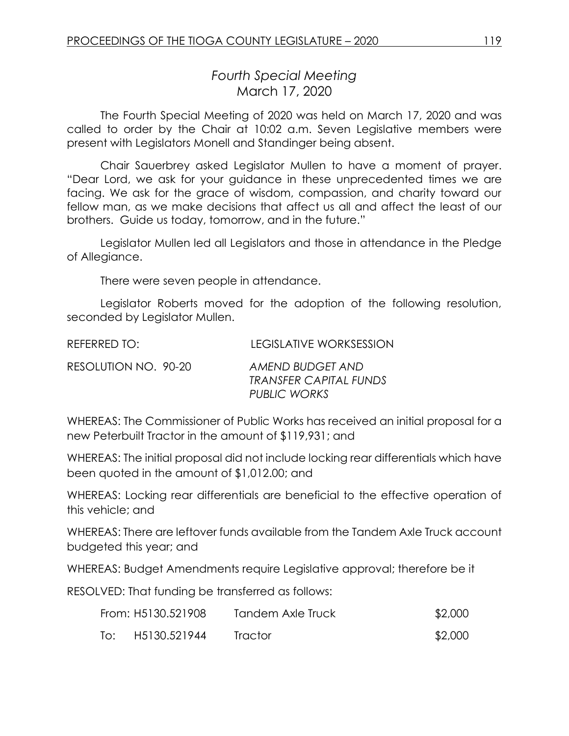## *Fourth Special Meeting* March 17, 2020

The Fourth Special Meeting of 2020 was held on March 17, 2020 and was called to order by the Chair at 10:02 a.m. Seven Legislative members were present with Legislators Monell and Standinger being absent.

Chair Sauerbrey asked Legislator Mullen to have a moment of prayer. "Dear Lord, we ask for your guidance in these unprecedented times we are facing. We ask for the grace of wisdom, compassion, and charity toward our fellow man, as we make decisions that affect us all and affect the least of our brothers. Guide us today, tomorrow, and in the future."

Legislator Mullen led all Legislators and those in attendance in the Pledge of Allegiance.

There were seven people in attendance.

Legislator Roberts moved for the adoption of the following resolution, seconded by Legislator Mullen.

REFERRED TO: LEGISLATIVE WORKSESSION

RESOLUTION NO. 90-20 *AMEND BUDGET AND TRANSFER CAPITAL FUNDS PUBLIC WORKS*

WHEREAS: The Commissioner of Public Works has received an initial proposal for a new Peterbuilt Tractor in the amount of \$119,931; and

WHEREAS: The initial proposal did not include locking rear differentials which have been quoted in the amount of \$1,012.00; and

WHEREAS: Locking rear differentials are beneficial to the effective operation of this vehicle; and

WHEREAS: There are leftover funds available from the Tandem Axle Truck account budgeted this year; and

WHEREAS: Budget Amendments require Legislative approval; therefore be it

RESOLVED: That funding be transferred as follows:

| From: H5130.521908 | Tandem Axle Truck | \$2,000 |
|--------------------|-------------------|---------|
| To: H5130.521944   | Tractor           | \$2,000 |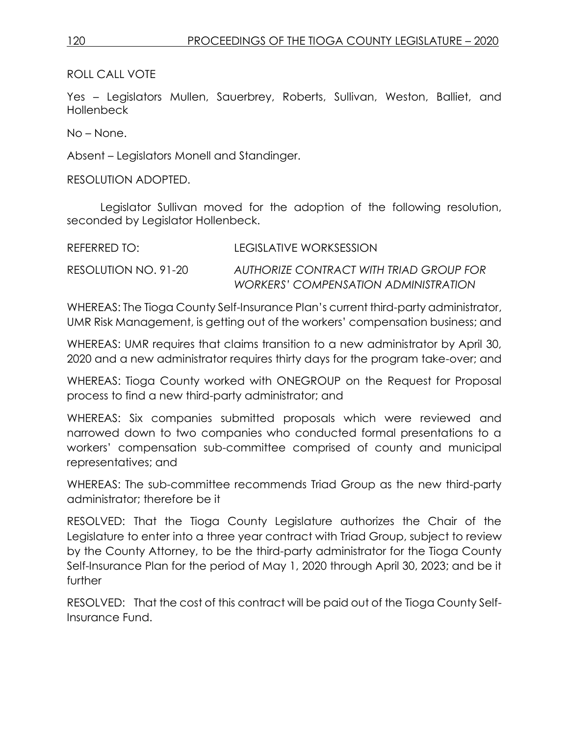ROLL CALL VOTE

Yes – Legislators Mullen, Sauerbrey, Roberts, Sullivan, Weston, Balliet, and Hollenbeck

No – None.

Absent – Legislators Monell and Standinger.

RESOLUTION ADOPTED.

Legislator Sullivan moved for the adoption of the following resolution, seconded by Legislator Hollenbeck.

| REFERRED TO:         | LEGISLATIVE WORKSESSION                                                         |
|----------------------|---------------------------------------------------------------------------------|
| RESOLUTION NO. 91-20 | AUTHORIZE CONTRACT WITH TRIAD GROUP FOR<br>WORKERS' COMPENSATION ADMINISTRATION |

WHEREAS: The Tioga County Self-Insurance Plan's current third-party administrator, UMR Risk Management, is getting out of the workers' compensation business; and

WHEREAS: UMR requires that claims transition to a new administrator by April 30, 2020 and a new administrator requires thirty days for the program take-over; and

WHEREAS: Tioga County worked with ONEGROUP on the Request for Proposal process to find a new third-party administrator; and

WHEREAS: Six companies submitted proposals which were reviewed and narrowed down to two companies who conducted formal presentations to a workers' compensation sub-committee comprised of county and municipal representatives; and

WHEREAS: The sub-committee recommends Triad Group as the new third-party administrator; therefore be it

RESOLVED: That the Tioga County Legislature authorizes the Chair of the Legislature to enter into a three year contract with Triad Group, subject to review by the County Attorney, to be the third-party administrator for the Tioga County Self-Insurance Plan for the period of May 1, 2020 through April 30, 2023; and be it further

RESOLVED: That the cost of this contract will be paid out of the Tioga County Self-Insurance Fund.